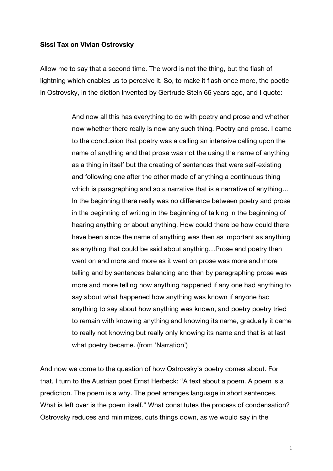## **Sissi Tax on Vivian Ostrovsky**

Allow me to say that a second time. The word is not the thing, but the flash of lightning which enables us to perceive it. So, to make it flash once more, the poetic in Ostrovsky, in the diction invented by Gertrude Stein 66 years ago, and I quote:

> And now all this has everything to do with poetry and prose and whether now whether there really is now any such thing. Poetry and prose. I came to the conclusion that poetry was a calling an intensive calling upon the name of anything and that prose was not the using the name of anything as a thing in itself but the creating of sentences that were self-existing and following one after the other made of anything a continuous thing which is paragraphing and so a narrative that is a narrative of anything... In the beginning there really was no difference between poetry and prose in the beginning of writing in the beginning of talking in the beginning of hearing anything or about anything. How could there be how could there have been since the name of anything was then as important as anything as anything that could be said about anything…Prose and poetry then went on and more and more as it went on prose was more and more telling and by sentences balancing and then by paragraphing prose was more and more telling how anything happened if any one had anything to say about what happened how anything was known if anyone had anything to say about how anything was known, and poetry poetry tried to remain with knowing anything and knowing its name, gradually it came to really not knowing but really only knowing its name and that is at last what poetry became. (from 'Narration')

And now we come to the question of how Ostrovsky's poetry comes about. For that, I turn to the Austrian poet Ernst Herbeck: "A text about a poem. A poem is a prediction. The poem is a why. The poet arranges language in short sentences. What is left over is the poem itself." What constitutes the process of condensation? Ostrovsky reduces and minimizes, cuts things down, as we would say in the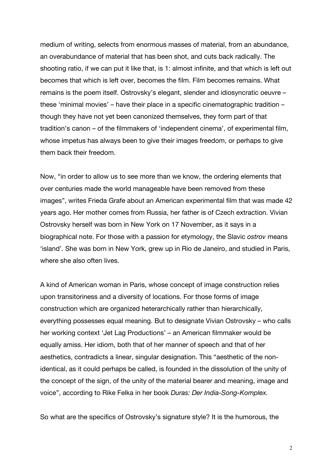medium of writing, selects from enormous masses of material, from an abundance, an overabundance of material that has been shot, and cuts back radically. The shooting ratio, if we can put it like that, is 1: almost infinite, and that which is left out becomes that which is left over, becomes the film. Film becomes remains. What remains is the poem itself. Ostrovsky's elegant, slender and idiosyncratic oeuvre – these 'minimal movies' – have their place in a specific cinematographic tradition – though they have not yet been canonized themselves, they form part of that tradition's canon – of the filmmakers of 'independent cinema', of experimental film, whose impetus has always been to give their images freedom, or perhaps to give them back their freedom.

Now, "in order to allow us to see more than we know, the ordering elements that over centuries made the world manageable have been removed from these images", writes Frieda Grafe about an American experimental film that was made 42 years ago. Her mother comes from Russia, her father is of Czech extraction. Vivian Ostrovsky herself was born in New York on 17 November, as it says in a biographical note. For those with a passion for etymology, the Slavic *ostrov* means 'island'. She was born in New York, grew up in Rio de Janeiro, and studied in Paris, where she also often lives.

A kind of American woman in Paris, whose concept of image construction relies upon transitoriness and a diversity of locations. For those forms of image construction which are organized heterarchically rather than hierarchically, everything possesses equal meaning. But to designate Vivian Ostrovsky – who calls her working context 'Jet Lag Productions' – an American filmmaker would be equally amiss. Her idiom, both that of her manner of speech and that of her aesthetics, contradicts a linear, singular designation. This "aesthetic of the nonidentical, as it could perhaps be called, is founded in the dissolution of the unity of the concept of the sign, of the unity of the material bearer and meaning, image and voice", according to Rike Felka in her book *Duras: Der India-Song-Komplex.*

So what are the specifics of Ostrovsky's signature style? It is the humorous, the

2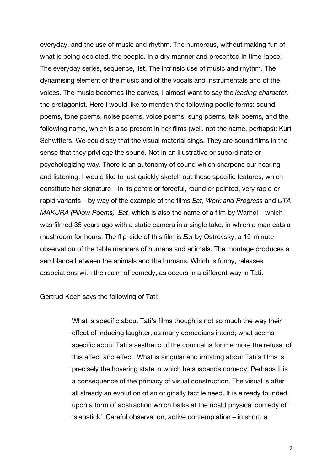everyday, and the use of music and rhythm. The humorous, without making fun of what is being depicted, the people. In a dry manner and presented in time-lapse. The everyday series, sequence, list. The intrinsic use of music and rhythm. The dynamising element of the music and of the vocals and instrumentals and of the voices. The music becomes the canvas, I almost want to say the *leading character,*  the protagonist. Here I would like to mention the following poetic forms: sound poems, tone poems, noise poems, voice poems, sung poems, talk poems, and the following name, which is also present in her films (well, not the name, perhaps): Kurt Schwitters. We could say that the visual material sings. They are sound films in the sense that they privilege the sound. Not in an illustrative or subordinate or psychologizing way. There is an autonomy of sound which sharpens our hearing and listening. I would like to just quickly sketch out these specific features, which constitute her signature – in its gentle or forceful, round or pointed, very rapid or rapid variants – by way of the example of the films *Eat*, *Work and Progress* and *UTA MAKURA (Pillow Poems). Eat*, which is also the name of a film by Warhol – which was filmed 35 years ago with a static camera in a single take, in which a man eats a mushroom for hours. The flip-side of this film is *Eat* by Ostrovsky, a 15-minute observation of the table manners of humans and animals. The montage produces a semblance between the animals and the humans. Which is funny, releases associations with the realm of comedy, as occurs in a different way in Tati.

Gertrud Koch says the following of Tati:

What is specific about Tati's films though is not so much the way their effect of inducing laughter, as many comedians intend; what seems specific about Tati's aesthetic of the comical is for me more the refusal of this affect and effect. What is singular and irritating about Tati's films is precisely the hovering state in which he suspends comedy. Perhaps it is a consequence of the primacy of visual construction. The visual is after all already an evolution of an originally tactile need. It is already founded upon a form of abstraction which balks at the ribald physical comedy of 'slapstick'. Careful observation, active contemplation – in short, a

3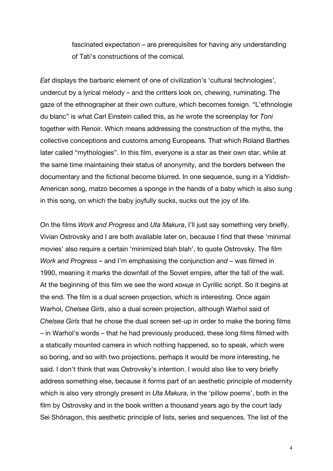fascinated expectation – are prerequisites for having any understanding of Tati's constructions of the comical.

*Eat* displays the barbaric element of one of civilization's 'cultural technologies', undercut by a lyrical melody – and the critters look on, chewing, ruminating. The gaze of the ethnographer at their own culture, which becomes foreign. "L'ethnologie du blanc" is what Carl Einstein called this, as he wrote the screenplay for *Toni* together with Renoir*.* Which means addressing the construction of the myths, the collective conceptions and customs among Europeans. That which Roland Barthes later called "mythologies". In this film, everyone is a star as their own star, while at the same time maintaining their status of anonymity, and the borders between the documentary and the fictional become blurred. In one sequence, sung in a Yiddish-American song, matzo becomes a sponge in the hands of a baby which is also sung in this song, on which the baby joyfully sucks, sucks out the joy of life.

On the films *Work and Progress* and *Uta Makura*, I'll just say something very briefly. Vivian Ostrovsky and I are both available later on, because I find that these 'minimal movies' also require a certain 'minimized blah blah', to quote Ostrovsky. The film *Work and Progress* – and I'm emphasising the conjunction *and –* was filmed in 1990, meaning it marks the downfall of the Soviet empire, after the fall of the wall. At the beginning of this film we see the word *конце* in Cyrillic script. So it begins at the end. The film is a dual screen projection, which is interesting. Once again Warhol, *Chelsea Girls*, also a dual screen projection, although Warhol said of *Chelsea Girls* that he chose the dual screen set-up in order to make the boring films – in Warhol's words – that he had previously produced, these long films filmed with a statically mounted camera in which nothing happened, so to speak, which were so boring, and so with two projections, perhaps it would be more interesting, he said. I don't think that was Ostrovsky's intention. I would also like to very briefly address something else, because it forms part of an aesthetic principle of modernity which is also very strongly present in *Uta Makura*, in the 'pillow poems', both in the film by Ostrovsky and in the book written a thousand years ago by the court lady Sei Shōnagon, this aesthetic principle of lists, series and sequences. The list of the